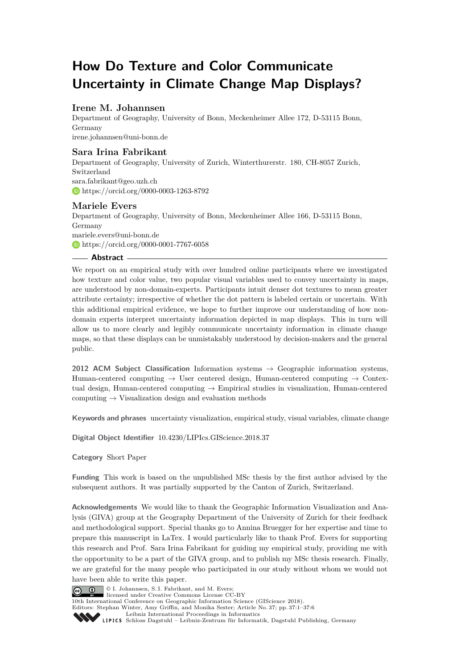# **How Do Texture and Color Communicate Uncertainty in Climate Change Map Displays?**

# **Irene M. Johannsen**

Department of Geography, University of Bonn, Meckenheimer Allee 172, D-53115 Bonn, Germany [irene.johannsen@uni-bonn.de](mailto:irene.johannsen@uni-bonn.de)

## **Sara Irina Fabrikant**

Department of Geography, University of Zurich, Winterthurerstr. 180, CH-8057 Zurich, Switzerland [sara.fabrikant@geo.uzh.ch](mailto:sara.fabrikant@geo.uzh.ch) <https://orcid.org/0000-0003-1263-8792>

# **Mariele Evers**

Department of Geography, University of Bonn, Meckenheimer Allee 166, D-53115 Bonn, Germany [mariele.evers@uni-bonn.de](mailto:mariele.evers@uni-bonn.de) <https://orcid.org/0000-0001-7767-6058>

### **Abstract**

We report on an empirical study with over hundred online participants where we investigated how texture and color value, two popular visual variables used to convey uncertainty in maps, are understood by non-domain-experts. Participants intuit denser dot textures to mean greater attribute certainty; irrespective of whether the dot pattern is labeled certain or uncertain. With this additional empirical evidence, we hope to further improve our understanding of how nondomain experts interpret uncertainty information depicted in map displays. This in turn will allow us to more clearly and legibly communicate uncertainty information in climate change maps, so that these displays can be unmistakably understood by decision-makers and the general public.

**2012 ACM Subject Classification** Information systems → Geographic information systems, Human-centered computing  $\rightarrow$  User centered design, Human-centered computing  $\rightarrow$  Contextual design, Human-centered computing  $\rightarrow$  Empirical studies in visualization, Human-centered computing  $\rightarrow$  Visualization design and evaluation methods

**Keywords and phrases** uncertainty visualization, empirical study, visual variables, climate change

**Digital Object Identifier** [10.4230/LIPIcs.GIScience.2018.37](http://dx.doi.org/10.4230/LIPIcs.GIScience.2018.37)

**Category** Short Paper

**Funding** This work is based on the unpublished MSc thesis by the first author advised by the subsequent authors. It was partially supported by the Canton of Zurich, Switzerland.

**Acknowledgements** We would like to thank the Geographic Information Visualization and Analysis (GIVA) group at the Geography Department of the University of Zurich for their feedback and methodological support. Special thanks go to Annina Bruegger for her expertise and time to prepare this manuscript in LaTex. I would particularly like to thank Prof. Evers for supporting this research and Prof. Sara Irina Fabrikant for guiding my empirical study, providing me with the opportunity to be a part of the GIVA group, and to publish my MSc thesis research. Finally, we are grateful for the many people who participated in our study without whom we would not have been able to write this paper.



© I. Johannsen, S. I. Fabrikant, and M. Evers; licensed under Creative Commons License CC-BY

10th International Conference on Geographic Information Science (GIScience 2018).

Editors: Stephan Winter, Amy Griffin, and Monika Sester; Article No. 37; pp. 37:1–37[:6](#page-5-0)

[Leibniz International Proceedings in Informatics](http://www.dagstuhl.de/lipics/)



Leibniz International riverenings in missimesise Bagstuhl Publishing, Germany<br>LIPICS [Schloss Dagstuhl – Leibniz-Zentrum für Informatik, Dagstuhl Publishing, Germany](http://www.dagstuhl.de)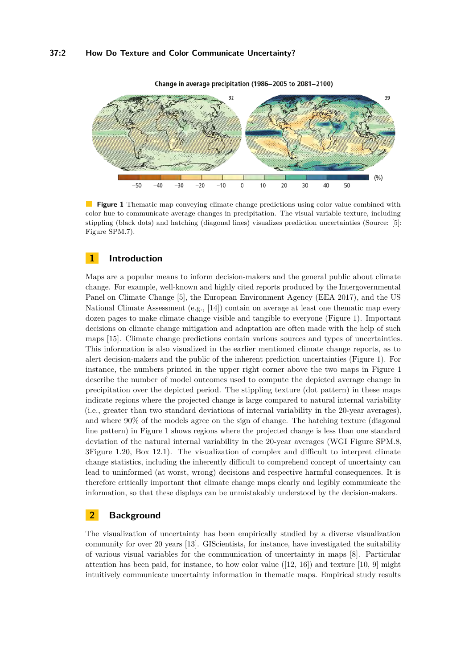### **37:2 How Do Texture and Color Communicate Uncertainty?**

<span id="page-1-0"></span>

Change in average precipitation (1986-2005 to 2081-2100)

 $\mathcal{L}^{\mathcal{A}}$ **Figure 1** Thematic map conveying climate change predictions using color value combined with color hue to communicate average changes in precipitation. The visual variable texture, including stippling (black dots) and hatching (diagonal lines) visualizes prediction uncertainties (Source: [\[5\]](#page-5-1): Figure SPM.7).

### **1 Introduction**

Maps are a popular means to inform decision-makers and the general public about climate change. For example, well-known and highly cited reports produced by the Intergovernmental Panel on Climate Change [\[5\]](#page-5-1), the European Environment Agency (EEA 2017), and the US National Climate Assessment (e.g., [\[14\]](#page-5-2)) contain on average at least one thematic map every dozen pages to make climate change visible and tangible to everyone (Figure [1\)](#page-1-0). Important decisions on climate change mitigation and adaptation are often made with the help of such maps [\[15\]](#page-5-3). Climate change predictions contain various sources and types of uncertainties. This information is also visualized in the earlier mentioned climate change reports, as to alert decision-makers and the public of the inherent prediction uncertainties (Figure [1\)](#page-1-0). For instance, the numbers printed in the upper right corner above the two maps in Figure [1](#page-1-0) describe the number of model outcomes used to compute the depicted average change in precipitation over the depicted period. The stippling texture (dot pattern) in these maps indicate regions where the projected change is large compared to natural internal variability (i.e., greater than two standard deviations of internal variability in the 20-year averages), and where 90% of the models agree on the sign of change. The hatching texture (diagonal line pattern) in Figure [1](#page-1-0) shows regions where the projected change is less than one standard deviation of the natural internal variability in the 20-year averages (WGI Figure SPM.8, 3Figure 1.20, Box 12.1). The visualization of complex and difficult to interpret climate change statistics, including the inherently difficult to comprehend concept of uncertainty can lead to uninformed (at worst, wrong) decisions and respective harmful consequences. It is therefore critically important that climate change maps clearly and legibly communicate the information, so that these displays can be unmistakably understood by the decision-makers.

### **2 Background**

The visualization of uncertainty has been empirically studied by a diverse visualization community for over 20 years [\[13\]](#page-5-4). GIScientists, for instance, have investigated the suitability of various visual variables for the communication of uncertainty in maps [\[8\]](#page-5-5). Particular attention has been paid, for instance, to how color value  $([12, 16])$  $([12, 16])$  $([12, 16])$  $([12, 16])$  $([12, 16])$  and texture  $[10, 9]$  $[10, 9]$  $[10, 9]$  might intuitively communicate uncertainty information in thematic maps. Empirical study results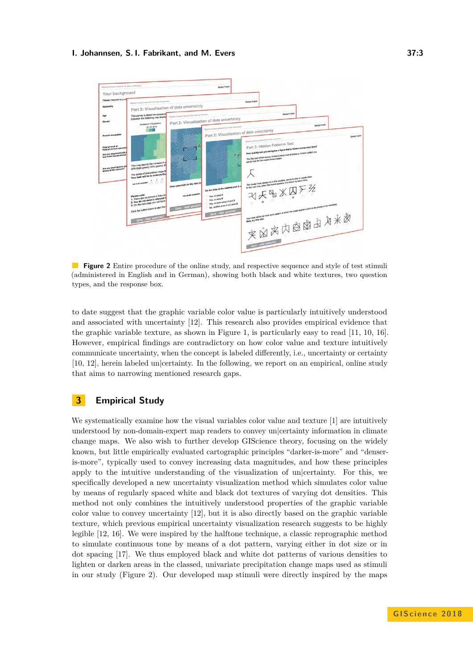#### **I. Johannsen, S. I. Fabrikant, and M. Evers 37:3**

<span id="page-2-0"></span>

**Figure 2** Entire procedure of the online study, and respective sequence and style of test stimuli (administered in English and in German), showing both black and white textures, two question types, and the response box.

to date suggest that the graphic variable color value is particularly intuitively understood and associated with uncertainty [\[12\]](#page-5-6). This research also provides empirical evidence that the graphic variable texture, as shown in Figure [1,](#page-1-0) is particularly easy to read [\[11,](#page-5-10) [10,](#page-5-8) [16\]](#page-5-7). However, empirical findings are contradictory on how color value and texture intuitively communicate uncertainty, when the concept is labeled differently, i.e., uncertainty or certainty [\[10,](#page-5-8) [12\]](#page-5-6), herein labeled un|certainty. In the following, we report on an empirical, online study that aims to narrowing mentioned research gaps.

# **3 Empirical Study**

We systematically examine how the visual variables color value and texture [\[1\]](#page-4-0) are intuitively understood by non-domain-expert map readers to convey un|certainty information in climate change maps. We also wish to further develop GIScience theory, focusing on the widely known, but little empirically evaluated cartographic principles "darker-is-more" and "denseris-more", typically used to convey increasing data magnitudes, and how these principles apply to the intuitive understanding of the visualization of un|certainty. For this, we specifically developed a new uncertainty visualization method which simulates color value by means of regularly spaced white and black dot textures of varying dot densities. This method not only combines the intuitively understood properties of the graphic variable color value to convey uncertainty [\[12\]](#page-5-6), but it is also directly based on the graphic variable texture, which previous empirical uncertainty visualization research suggests to be highly legible [\[12,](#page-5-6) [16\]](#page-5-7). We were inspired by the halftone technique, a classic reprographic method to simulate continuous tone by means of a dot pattern, varying either in dot size or in dot spacing [\[17\]](#page-5-11). We thus employed black and white dot patterns of various densities to lighten or darken areas in the classed, univariate precipitation change maps used as stimuli in our study (Figure [2\)](#page-2-0). Our developed map stimuli were directly inspired by the maps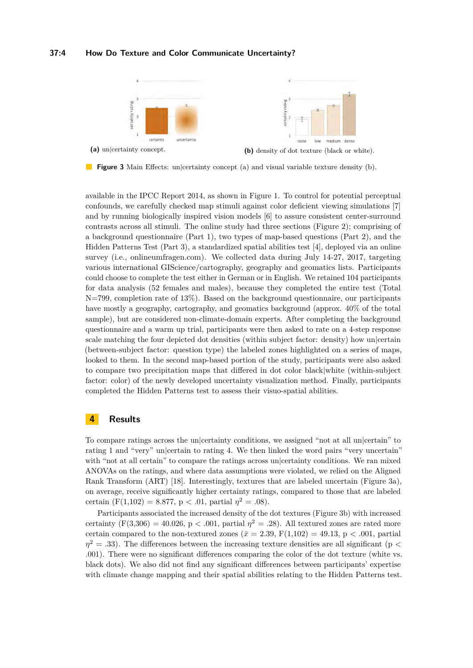### **37:4 How Do Texture and Color Communicate Uncertainty?**

<span id="page-3-0"></span>

**Figure 3** Main Effects: un|certainty concept (a) and visual variable texture density (b).

available in the IPCC Report 2014, as shown in Figure [1.](#page-1-0) To control for potential perceptual confounds, we carefully checked map stimuli against color deficient viewing simulations [\[7\]](#page-5-12) and by running biologically inspired vision models [\[6\]](#page-5-13) to assure consistent center-surround contrasts across all stimuli. The online study had three sections (Figure [2\)](#page-2-0); comprising of a background questionnaire (Part 1), two types of map-based questions (Part 2), and the Hidden Patterns Test (Part 3), a standardized spatial abilities test [\[4\]](#page-5-14), deployed via an online survey (i.e., onlineumfragen.com). We collected data during July 14-27, 2017, targeting various international GIScience/cartography, geography and geomatics lists. Participants could choose to complete the test either in German or in English. We retained 104 participants for data analysis (52 females and males), because they completed the entire test (Total N=799, completion rate of 13%). Based on the background questionnaire, our participants have mostly a geography, cartography, and geomatics background (approx. 40% of the total sample), but are considered non-climate-domain experts. After completing the background questionnaire and a warm up trial, participants were then asked to rate on a 4-step response scale matching the four depicted dot densities (within subject factor: density) how un certain (between-subject factor: question type) the labeled zones highlighted on a series of maps, looked to them. In the second map-based portion of the study, participants were also asked to compare two precipitation maps that differed in dot color black|white (within-subject factor: color) of the newly developed uncertainty visualization method. Finally, participants completed the Hidden Patterns test to assess their visuo-spatial abilities.

### **4 Results**

To compare ratings across the un|certainty conditions, we assigned "not at all un|certain" to rating 1 and "very" un|certain to rating 4. We then linked the word pairs "very uncertain" with "not at all certain" to compare the ratings across un|certainty conditions. We ran mixed ANOVAs on the ratings, and where data assumptions were violated, we relied on the Aligned Rank Transform (ART) [\[18\]](#page-5-15). Interestingly, textures that are labeled uncertain (Figure [3a\)](#page-3-0), on average, receive significantly higher certainty ratings, compared to those that are labeled certain  $(F(1,102) = 8.877, p < .01,$  partial  $\eta^2 = .08$ ).

Participants associated the increased density of the dot textures (Figure [3b\)](#page-3-0) with increased certainty  $(F(3,306) = 40.026, p < .001,$  partial  $\eta^2 = .28)$ . All textured zones are rated more certain compared to the non-textured zones ( $\bar{x} = 2.39$ , F(1,102) = 49.13, p < .001, partial  $\eta^2 = .33$ ). The differences between the increasing texture densities are all significant (p < .001). There were no significant differences comparing the color of the dot texture (white vs. black dots). We also did not find any significant differences between participants' expertise with climate change mapping and their spatial abilities relating to the Hidden Patterns test.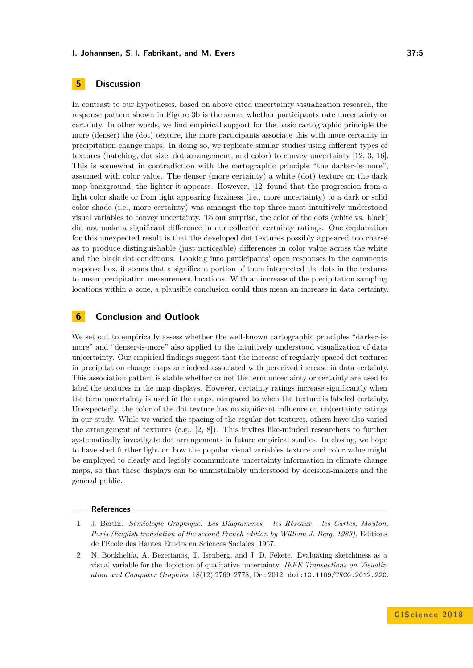#### **I. Johannsen, S. I. Fabrikant, and M. Evers 37:5**

# **5 Discussion**

In contrast to our hypotheses, based on above cited uncertainty visualization research, the response pattern shown in Figure [3b](#page-3-0) is the same, whether participants rate uncertainty or certainty. In other words, we find empirical support for the basic cartographic principle the more (denser) the (dot) texture, the more participants associate this with more certainty in precipitation change maps. In doing so, we replicate similar studies using different types of textures (hatching, dot size, dot arrangement, and color) to convey uncertainty [\[12,](#page-5-6) [3,](#page-5-16) [16\]](#page-5-7). This is somewhat in contradiction with the cartographic principle "the darker-is-more", assumed with color value. The denser (more certainty) a white (dot) texture on the dark map background, the lighter it appears. However, [\[12\]](#page-5-6) found that the progression from a light color shade or from light appearing fuzziness (i.e., more uncertainty) to a dark or solid color shade (i.e., more certainty) was amongst the top three most intuitively understood visual variables to convey uncertainty. To our surprise, the color of the dots (white vs. black) did not make a significant difference in our collected certainty ratings. One explanation for this unexpected result is that the developed dot textures possibly appeared too coarse as to produce distinguishable (just noticeable) differences in color value across the white and the black dot conditions. Looking into participants' open responses in the comments response box, it seems that a significant portion of them interpreted the dots in the textures to mean precipitation measurement locations. With an increase of the precipitation sampling locations within a zone, a plausible conclusion could thus mean an increase in data certainty.

### **6 Conclusion and Outlook**

We set out to empirically assess whether the well-known cartographic principles "darker-ismore" and "denser-is-more" also applied to the intuitively understood visualization of data un|certainty. Our empirical findings suggest that the increase of regularly spaced dot textures in precipitation change maps are indeed associated with perceived increase in data certainty. This association pattern is stable whether or not the term uncertainty or certainty are used to label the textures in the map displays. However, certainty ratings increase significantly when the term uncertainty is used in the maps, compared to when the texture is labeled certainty. Unexpectedly, the color of the dot texture has no significant influence on un|certainty ratings in our study. While we varied the spacing of the regular dot textures, others have also varied the arrangement of textures (e.g., [\[2,](#page-4-1) [8\]](#page-5-5)). This invites like-minded researchers to further systematically investigate dot arrangements in future empirical studies. In closing, we hope to have shed further light on how the popular visual variables texture and color value might be employed to clearly and legibly communicate uncertainty information in climate change maps, so that these displays can be unmistakably understood by decision-makers and the general public.

#### **References**

- <span id="page-4-0"></span>**1** J. Bertin. *Sémiologie Graphique: Les Diagrammes – les Réseaux – les Cartes, Mouton, Paris (English translation of the second French edition by William J. Berg, 1983)*. Editions de l'Ecole des Hautes Etudes en Sciences Sociales, 1967.
- <span id="page-4-1"></span>**2** N. Boukhelifa, A. Bezerianos, T. Isenberg, and J. D. Fekete. Evaluating sketchiness as a visual variable for the depiction of qualitative uncertainty. *IEEE Transactions on Visualization and Computer Graphics*, 18(12):2769–2778, Dec 2012. [doi:10.1109/TVCG.2012.220](http://dx.doi.org/10.1109/TVCG.2012.220).